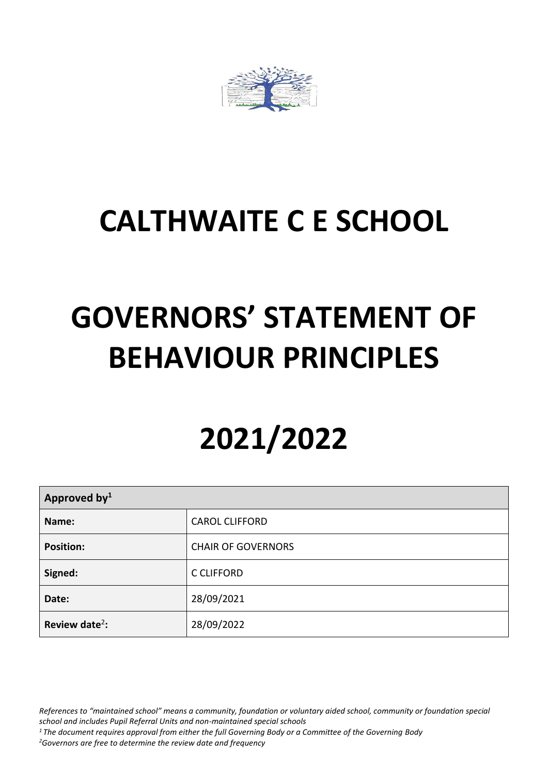

# **CALTHWAITE C E SCHOOL**

# **GOVERNORS' STATEMENT OF BEHAVIOUR PRINCIPLES**

# **2021/2022**

| Approved by <sup>1</sup>   |                           |  |
|----------------------------|---------------------------|--|
| Name:                      | <b>CAROL CLIFFORD</b>     |  |
| <b>Position:</b>           | <b>CHAIR OF GOVERNORS</b> |  |
| Signed:                    | <b>C CLIFFORD</b>         |  |
| Date:                      | 28/09/2021                |  |
| Review date <sup>2</sup> : | 28/09/2022                |  |

*References to "maintained school" means a community, foundation or voluntary aided school, community or foundation special school and includes Pupil Referral Units and non-maintained special schools*

*<sup>1</sup> The document requires approval from either the full Governing Body or a Committee of the Governing Body*

*<sup>2</sup>Governors are free to determine the review date and frequency*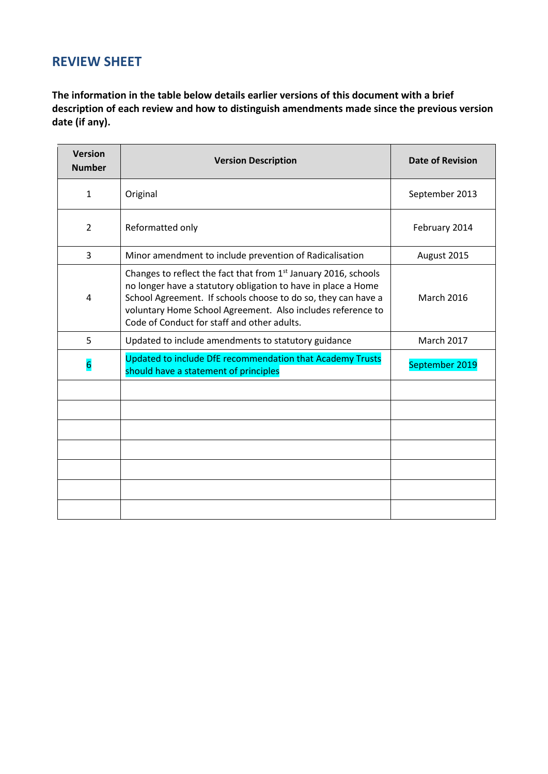# **REVIEW SHEET**

**The information in the table below details earlier versions of this document with a brief description of each review and how to distinguish amendments made since the previous version date (if any).**

| <b>Version</b><br><b>Number</b> | <b>Version Description</b>                                                                                                                                                                                                                                                                                                  | <b>Date of Revision</b> |
|---------------------------------|-----------------------------------------------------------------------------------------------------------------------------------------------------------------------------------------------------------------------------------------------------------------------------------------------------------------------------|-------------------------|
| $\mathbf{1}$                    | Original                                                                                                                                                                                                                                                                                                                    | September 2013          |
| $\overline{2}$                  | Reformatted only                                                                                                                                                                                                                                                                                                            | February 2014           |
| 3                               | Minor amendment to include prevention of Radicalisation                                                                                                                                                                                                                                                                     | August 2015             |
| 4                               | Changes to reflect the fact that from 1 <sup>st</sup> January 2016, schools<br>no longer have a statutory obligation to have in place a Home<br>School Agreement. If schools choose to do so, they can have a<br>voluntary Home School Agreement. Also includes reference to<br>Code of Conduct for staff and other adults. | <b>March 2016</b>       |
| 5                               | Updated to include amendments to statutory guidance                                                                                                                                                                                                                                                                         | <b>March 2017</b>       |
| $6\overline{6}$                 | Updated to include DfE recommendation that Academy Trusts<br>should have a statement of principles                                                                                                                                                                                                                          | September 2019          |
|                                 |                                                                                                                                                                                                                                                                                                                             |                         |
|                                 |                                                                                                                                                                                                                                                                                                                             |                         |
|                                 |                                                                                                                                                                                                                                                                                                                             |                         |
|                                 |                                                                                                                                                                                                                                                                                                                             |                         |
|                                 |                                                                                                                                                                                                                                                                                                                             |                         |
|                                 |                                                                                                                                                                                                                                                                                                                             |                         |
|                                 |                                                                                                                                                                                                                                                                                                                             |                         |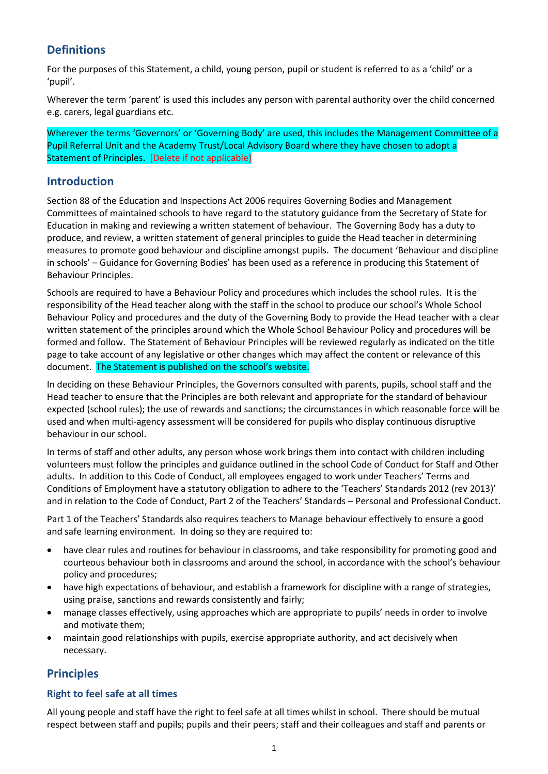## **Definitions**

For the purposes of this Statement, a child, young person, pupil or student is referred to as a 'child' or a 'pupil'.

Wherever the term 'parent' is used this includes any person with parental authority over the child concerned e.g. carers, legal guardians etc.

Wherever the terms 'Governors' or 'Governing Body' are used, this includes the Management Committee of a Pupil Referral Unit and the Academy Trust/Local Advisory Board where they have chosen to adopt a Statement of Principles. [Delete if not applicable]

### **Introduction**

Section 88 of the Education and Inspections Act 2006 requires Governing Bodies and Management Committees of maintained schools to have regard to the statutory guidance from the Secretary of State for Education in making and reviewing a written statement of behaviour. The Governing Body has a duty to produce, and review, a written statement of general principles to guide the Head teacher in determining measures to promote good behaviour and discipline amongst pupils. The document 'Behaviour and discipline in schools' – Guidance for Governing Bodies' has been used as a reference in producing this Statement of Behaviour Principles.

Schools are required to have a Behaviour Policy and procedures which includes the school rules. It is the responsibility of the Head teacher along with the staff in the school to produce our school's Whole School Behaviour Policy and procedures and the duty of the Governing Body to provide the Head teacher with a clear written statement of the principles around which the Whole School Behaviour Policy and procedures will be formed and follow. The Statement of Behaviour Principles will be reviewed regularly as indicated on the title page to take account of any legislative or other changes which may affect the content or relevance of this document. The Statement is published on the school's website.

In deciding on these Behaviour Principles, the Governors consulted with parents, pupils, school staff and the Head teacher to ensure that the Principles are both relevant and appropriate for the standard of behaviour expected (school rules); the use of rewards and sanctions; the circumstances in which reasonable force will be used and when multi-agency assessment will be considered for pupils who display continuous disruptive behaviour in our school.

In terms of staff and other adults, any person whose work brings them into contact with children including volunteers must follow the principles and guidance outlined in the school Code of Conduct for Staff and Other adults. In addition to this Code of Conduct, all employees engaged to work under Teachers' Terms and Conditions of Employment have a statutory obligation to adhere to the 'Teachers' Standards 2012 (rev 2013)' and in relation to the Code of Conduct, Part 2 of the Teachers' Standards – Personal and Professional Conduct.

Part 1 of the Teachers' Standards also requires teachers to Manage behaviour effectively to ensure a good and safe learning environment. In doing so they are required to:

- have clear rules and routines for behaviour in classrooms, and take responsibility for promoting good and courteous behaviour both in classrooms and around the school, in accordance with the school's behaviour policy and procedures;
- have high expectations of behaviour, and establish a framework for discipline with a range of strategies, using praise, sanctions and rewards consistently and fairly;
- manage classes effectively, using approaches which are appropriate to pupils' needs in order to involve and motivate them;
- maintain good relationships with pupils, exercise appropriate authority, and act decisively when necessary.

### **Principles**

#### **Right to feel safe at all times**

All young people and staff have the right to feel safe at all times whilst in school. There should be mutual respect between staff and pupils; pupils and their peers; staff and their colleagues and staff and parents or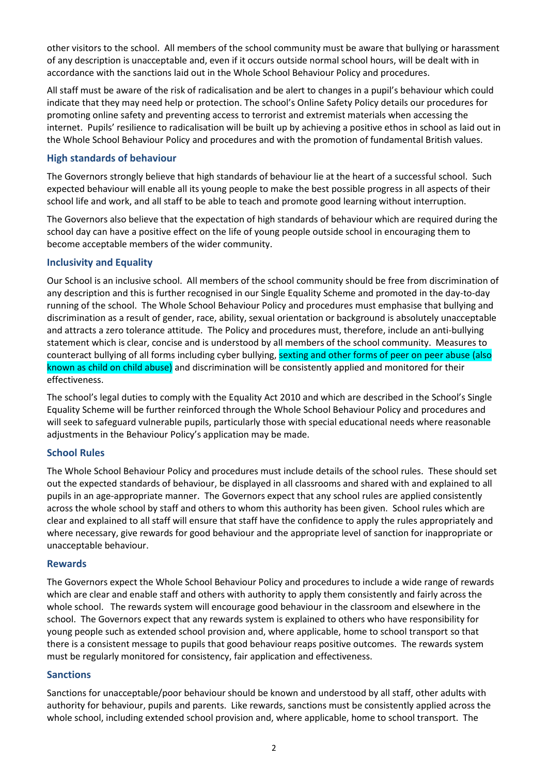other visitors to the school. All members of the school community must be aware that bullying or harassment of any description is unacceptable and, even if it occurs outside normal school hours, will be dealt with in accordance with the sanctions laid out in the Whole School Behaviour Policy and procedures.

All staff must be aware of the risk of radicalisation and be alert to changes in a pupil's behaviour which could indicate that they may need help or protection. The school's Online Safety Policy details our procedures for promoting online safety and preventing access to terrorist and extremist materials when accessing the internet. Pupils' resilience to radicalisation will be built up by achieving a positive ethos in school as laid out in the Whole School Behaviour Policy and procedures and with the promotion of fundamental British values.

#### **High standards of behaviour**

The Governors strongly believe that high standards of behaviour lie at the heart of a successful school. Such expected behaviour will enable all its young people to make the best possible progress in all aspects of their school life and work, and all staff to be able to teach and promote good learning without interruption.

The Governors also believe that the expectation of high standards of behaviour which are required during the school day can have a positive effect on the life of young people outside school in encouraging them to become acceptable members of the wider community.

#### **Inclusivity and Equality**

Our School is an inclusive school. All members of the school community should be free from discrimination of any description and this is further recognised in our Single Equality Scheme and promoted in the day-to-day running of the school. The Whole School Behaviour Policy and procedures must emphasise that bullying and discrimination as a result of gender, race, ability, sexual orientation or background is absolutely unacceptable and attracts a zero tolerance attitude. The Policy and procedures must, therefore, include an anti-bullying statement which is clear, concise and is understood by all members of the school community. Measures to counteract bullying of all forms including cyber bullying, sexting and other forms of peer on peer abuse (also known as child on child abuse) and discrimination will be consistently applied and monitored for their effectiveness.

The school's legal duties to comply with the Equality Act 2010 and which are described in the School's Single Equality Scheme will be further reinforced through the Whole School Behaviour Policy and procedures and will seek to safeguard vulnerable pupils, particularly those with special educational needs where reasonable adjustments in the Behaviour Policy's application may be made.

#### **School Rules**

The Whole School Behaviour Policy and procedures must include details of the school rules. These should set out the expected standards of behaviour, be displayed in all classrooms and shared with and explained to all pupils in an age-appropriate manner. The Governors expect that any school rules are applied consistently across the whole school by staff and others to whom this authority has been given. School rules which are clear and explained to all staff will ensure that staff have the confidence to apply the rules appropriately and where necessary, give rewards for good behaviour and the appropriate level of sanction for inappropriate or unacceptable behaviour.

#### **Rewards**

The Governors expect the Whole School Behaviour Policy and procedures to include a wide range of rewards which are clear and enable staff and others with authority to apply them consistently and fairly across the whole school. The rewards system will encourage good behaviour in the classroom and elsewhere in the school. The Governors expect that any rewards system is explained to others who have responsibility for young people such as extended school provision and, where applicable, home to school transport so that there is a consistent message to pupils that good behaviour reaps positive outcomes. The rewards system must be regularly monitored for consistency, fair application and effectiveness.

#### **Sanctions**

Sanctions for unacceptable/poor behaviour should be known and understood by all staff, other adults with authority for behaviour, pupils and parents. Like rewards, sanctions must be consistently applied across the whole school, including extended school provision and, where applicable, home to school transport. The